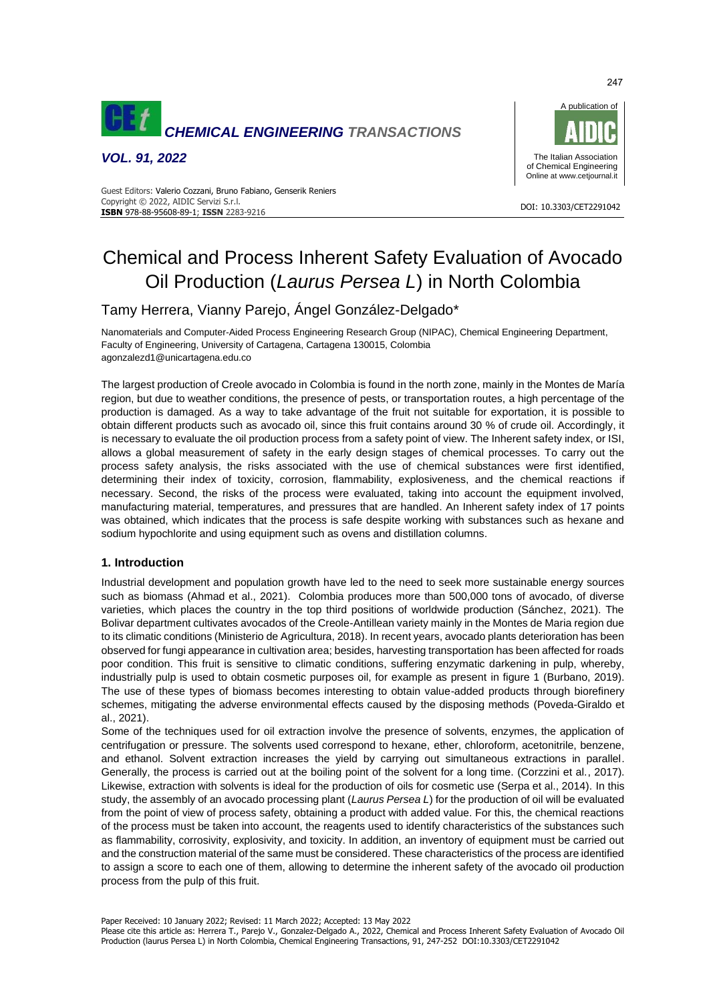

*VOL. 91, 2022*



#### DOI: 10.3303/CET2291042 **ISBN** 978-88-95608-89-1; **ISSN** 2283-9216 Guest Editors: Valerio Cozzani, Bruno Fabiano, Genserik Reniers Copyright © 2022, AIDIC Servizi S.r.l.

# Chemical and Process Inherent Safety Evaluation of Avocado Oil Production (*Laurus Persea L*) in North Colombia

# Tamy Herrera, Vianny Parejo, Ángel González-Delgado\*

Nanomaterials and Computer-Aided Process Engineering Research Group (NIPAC), Chemical Engineering Department, Faculty of Engineering, University of Cartagena, Cartagena 130015, Colombia agonzalezd1@unicartagena.edu.co

The largest production of Creole avocado in Colombia is found in the north zone, mainly in the Montes de María region, but due to weather conditions, the presence of pests, or transportation routes, a high percentage of the production is damaged. As a way to take advantage of the fruit not suitable for exportation, it is possible to obtain different products such as avocado oil, since this fruit contains around 30 % of crude oil. Accordingly, it is necessary to evaluate the oil production process from a safety point of view. The Inherent safety index, or ISI, allows a global measurement of safety in the early design stages of chemical processes. To carry out the process safety analysis, the risks associated with the use of chemical substances were first identified, determining their index of toxicity, corrosion, flammability, explosiveness, and the chemical reactions if necessary. Second, the risks of the process were evaluated, taking into account the equipment involved, manufacturing material, temperatures, and pressures that are handled. An Inherent safety index of 17 points was obtained, which indicates that the process is safe despite working with substances such as hexane and sodium hypochlorite and using equipment such as ovens and distillation columns.

# **1. Introduction**

Industrial development and population growth have led to the need to seek more sustainable energy sources such as biomass (Ahmad et al., 2021). Colombia produces more than 500,000 tons of avocado, of diverse varieties, which places the country in the top third positions of worldwide production (Sánchez, 2021). The Bolivar department cultivates avocados of the Creole-Antillean variety mainly in the Montes de Maria region due to its climatic conditions (Ministerio de Agricultura, 2018). In recent years, avocado plants deterioration has been observed for fungi appearance in cultivation area; besides, harvesting transportation has been affected for roads poor condition. This fruit is sensitive to climatic conditions, suffering enzymatic darkening in pulp, whereby, industrially pulp is used to obtain cosmetic purposes oil, for example as present in figure 1 (Burbano, 2019). The use of these types of biomass becomes interesting to obtain value-added products through biorefinery schemes, mitigating the adverse environmental effects caused by the disposing methods (Poveda-Giraldo et al., 2021).

Some of the techniques used for oil extraction involve the presence of solvents, enzymes, the application of centrifugation or pressure. The solvents used correspond to hexane, ether, chloroform, acetonitrile, benzene, and ethanol. Solvent extraction increases the yield by carrying out simultaneous extractions in parallel. Generally, the process is carried out at the boiling point of the solvent for a long time. (Corzzini et al., 2017). Likewise, extraction with solvents is ideal for the production of oils for cosmetic use (Serpa et al., 2014). In this study, the assembly of an avocado processing plant (*Laurus Persea L*) for the production of oil will be evaluated from the point of view of process safety, obtaining a product with added value. For this, the chemical reactions of the process must be taken into account, the reagents used to identify characteristics of the substances such as flammability, corrosivity, explosivity, and toxicity. In addition, an inventory of equipment must be carried out and the construction material of the same must be considered. These characteristics of the process are identified to assign a score to each one of them, allowing to determine the inherent safety of the avocado oil production process from the pulp of this fruit.

247

Please cite this article as: Herrera T., Parejo V., Gonzalez-Delgado A., 2022, Chemical and Process Inherent Safety Evaluation of Avocado Oil Production (laurus Persea L) in North Colombia, Chemical Engineering Transactions, 91, 247-252 DOI:10.3303/CET2291042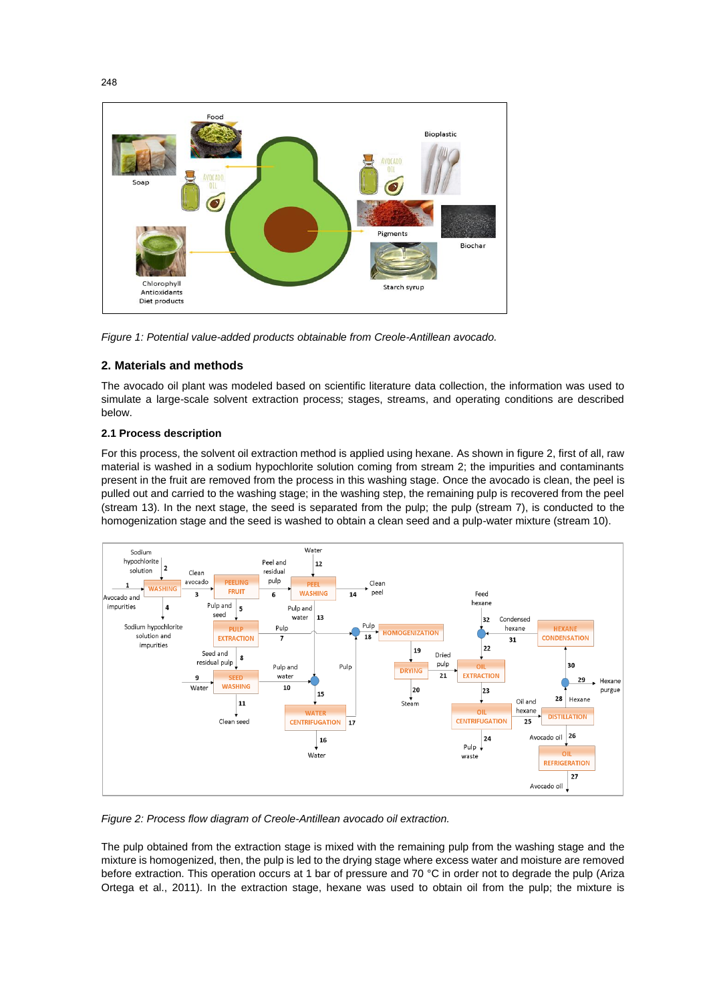

*Figure 1: Potential value-added products obtainable from Creole-Antillean avocado.*

# **2. Materials and methods**

The avocado oil plant was modeled based on scientific literature data collection, the information was used to simulate a large-scale solvent extraction process; stages, streams, and operating conditions are described below.

# **2.1 Process description**

For this process, the solvent oil extraction method is applied using hexane. As shown in figure 2, first of all, raw material is washed in a sodium hypochlorite solution coming from stream 2; the impurities and contaminants present in the fruit are removed from the process in this washing stage. Once the avocado is clean, the peel is pulled out and carried to the washing stage; in the washing step, the remaining pulp is recovered from the peel (stream 13). In the next stage, the seed is separated from the pulp; the pulp (stream 7), is conducted to the homogenization stage and the seed is washed to obtain a clean seed and a pulp-water mixture (stream 10).



*Figure 2: Process flow diagram of Creole-Antillean avocado oil extraction.*

The pulp obtained from the extraction stage is mixed with the remaining pulp from the washing stage and the mixture is homogenized, then, the pulp is led to the drying stage where excess water and moisture are removed before extraction. This operation occurs at 1 bar of pressure and 70 °C in order not to degrade the pulp (Ariza Ortega et al., 2011). In the extraction stage, hexane was used to obtain oil from the pulp; the mixture is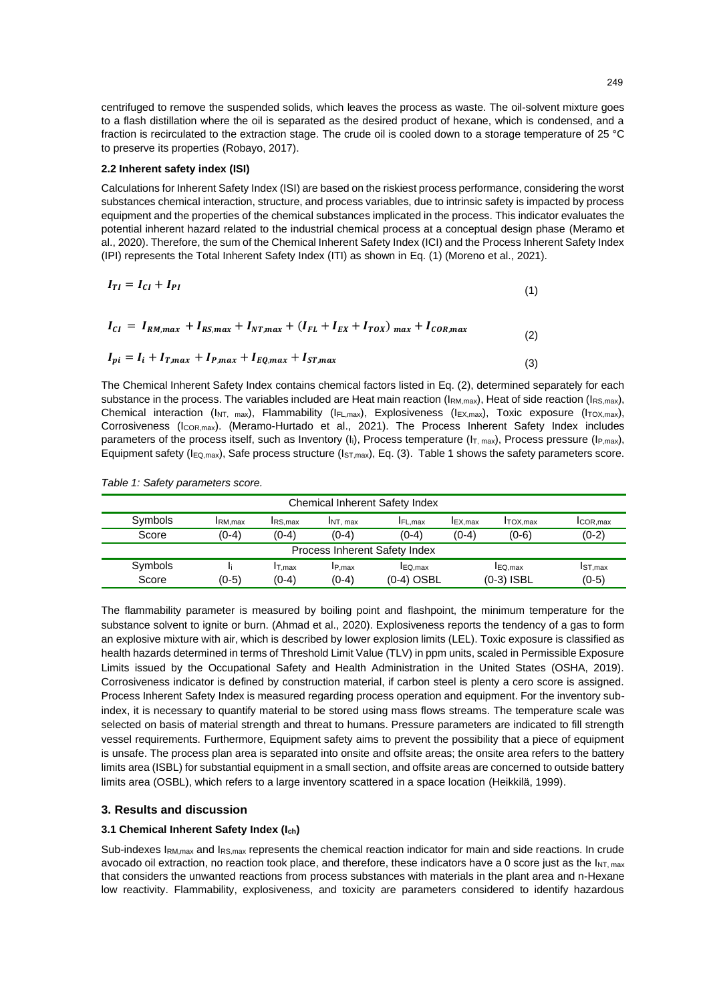centrifuged to remove the suspended solids, which leaves the process as waste. The oil-solvent mixture goes to a flash distillation where the oil is separated as the desired product of hexane, which is condensed, and a fraction is recirculated to the extraction stage. The crude oil is cooled down to a storage temperature of 25 °C to preserve its properties (Robayo, 2017).

#### **2.2 Inherent safety index (ISI)**

Calculations for Inherent Safety Index (ISI) are based on the riskiest process performance, considering the worst substances chemical interaction, structure, and process variables, due to intrinsic safety is impacted by process equipment and the properties of the chemical substances implicated in the process. This indicator evaluates the potential inherent hazard related to the industrial chemical process at a conceptual design phase (Meramo et al., 2020). Therefore, the sum of the Chemical Inherent Safety Index (ICI) and the Process Inherent Safety Index (IPI) represents the Total Inherent Safety Index (ITI) as shown in Eq. (1) (Moreno et al., 2021).

$$
I_{TI} = I_{CI} + I_{PI} \tag{1}
$$

$$
I_{CI} = I_{RM,max} + I_{RS,max} + I_{NT,max} + (I_{FL} + I_{EX} + I_{TOX})_{max} + I_{COR,max}
$$
 (2)

$$
I_{pi} = I_i + I_{T,max} + I_{P,max} + I_{EQ,max} + I_{ST,max}
$$
\n
$$
\tag{3}
$$

The Chemical Inherent Safety Index contains chemical factors listed in Eq. (2), determined separately for each substance in the process. The variables included are Heat main reaction ( $\text{IRM},\text{max}$ ), Heat of side reaction ( $\text{IRS},\text{max}$ ), Chemical interaction ( $I_{NT, max}$ ), Flammability ( $I_{FL,max}$ ), Explosiveness ( $I_{EX,max}$ ), Toxic exposure ( $I_{TOX,max}$ ), Corrosiveness (ICOR,max). (Meramo-Hurtado et al., 2021). The Process Inherent Safety Index includes parameters of the process itself, such as Inventory (I<sub>i</sub>), Process temperature ( $I_{T, max}$ ), Process pressure ( $I_{P, max}$ ), Equipment safety ( $I_{EQ,max}$ ), Safe process structure ( $I_{ST,max}$ ), Eq. (3). Table 1 shows the safety parameters score.

*Table 1: Safety parameters score.*

| Chemical Inherent Safety Index |                |                    |                   |                                 |                |                                                       |          |
|--------------------------------|----------------|--------------------|-------------------|---------------------------------|----------------|-------------------------------------------------------|----------|
| Symbols                        | <b>IRM.max</b> | <b>IRS.max</b>     | INT. max          | <b>IFL.max</b>                  | <b>IEX.max</b> | <b>ITOX.max</b>                                       | ICOR.max |
| Score                          | (0-4)          | (0-4)              | $(0-4)$           | $(0-4)$                         | $(0-4)$        | $(0-6)$                                               | $(0-2)$  |
| Process Inherent Safety Index  |                |                    |                   |                                 |                |                                                       |          |
| Symbols<br>Score               | $(0-5)$        | $I$ T.max<br>(0-4) | IP.max<br>$(0-4)$ | <b>I</b> EQ.max<br>$(0-4)$ OSBL |                | <b>I</b> ST.max<br>IEQ.max<br>$(0-5)$<br>$(0-3)$ ISBL |          |
|                                |                |                    |                   |                                 |                |                                                       |          |

The flammability parameter is measured by boiling point and flashpoint, the minimum temperature for the substance solvent to ignite or burn. (Ahmad et al., 2020). Explosiveness reports the tendency of a gas to form an explosive mixture with air, which is described by lower explosion limits (LEL). Toxic exposure is classified as health hazards determined in terms of Threshold Limit Value (TLV) in ppm units, scaled in Permissible Exposure Limits issued by the Occupational Safety and Health Administration in the United States (OSHA, 2019). Corrosiveness indicator is defined by construction material, if carbon steel is plenty a cero score is assigned. Process Inherent Safety Index is measured regarding process operation and equipment. For the inventory subindex, it is necessary to quantify material to be stored using mass flows streams. The temperature scale was selected on basis of material strength and threat to humans. Pressure parameters are indicated to fill strength vessel requirements. Furthermore, Equipment safety aims to prevent the possibility that a piece of equipment is unsafe. The process plan area is separated into onsite and offsite areas; the onsite area refers to the battery limits area (ISBL) for substantial equipment in a small section, and offsite areas are concerned to outside battery limits area (OSBL), which refers to a large inventory scattered in a space location (Heikkilä, 1999).

# **3. Results and discussion**

# **3.1 Chemical Inherent Safety Index (Ich)**

Sub-indexes I<sub>RM,max</sub> and I<sub>RS,max</sub> represents the chemical reaction indicator for main and side reactions. In crude avocado oil extraction, no reaction took place, and therefore, these indicators have a 0 score just as the  $I_{NT, max}$ that considers the unwanted reactions from process substances with materials in the plant area and n-Hexane low reactivity. Flammability, explosiveness, and toxicity are parameters considered to identify hazardous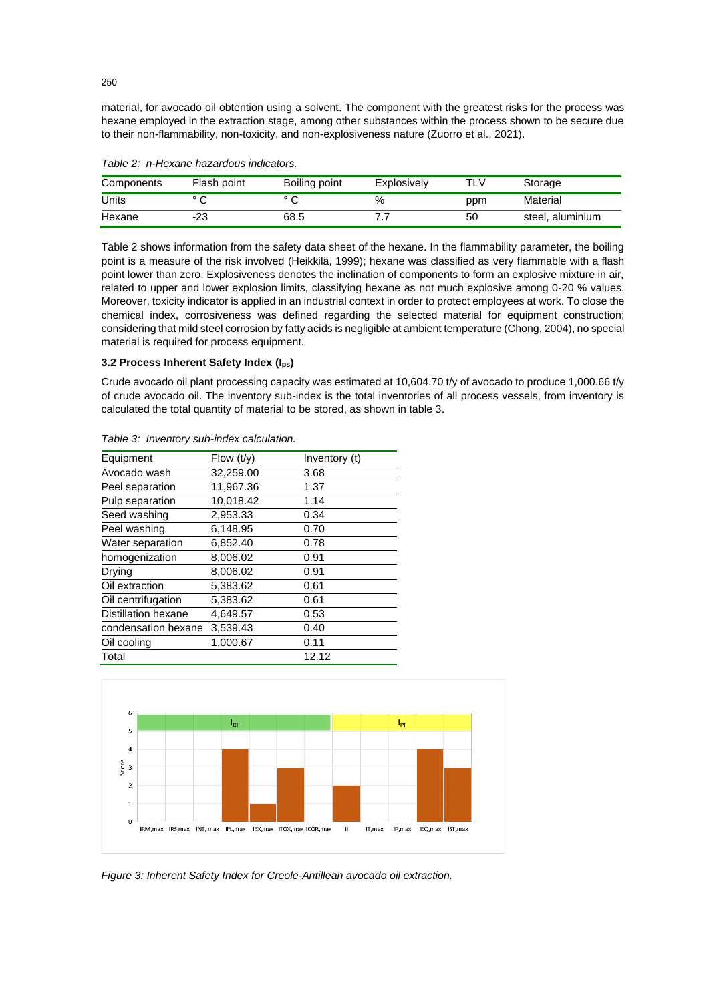material, for avocado oil obtention using a solvent. The component with the greatest risks for the process was hexane employed in the extraction stage, among other substances within the process shown to be secure due to their non-flammability, non-toxicity, and non-explosiveness nature (Zuorro et al., 2021).

| Components | Flash point    | Boiling point  | Explosively | TLV | Storage          |
|------------|----------------|----------------|-------------|-----|------------------|
| Units      | $\circ$ $\sim$ | $\circ$ $\sim$ | %           | ppm | Material         |
| Hexane     | -23            | 68.5           |             | 50  | steel, aluminium |

*Table 2: n-Hexane hazardous indicators.*

Table 2 shows information from the safety data sheet of the hexane. In the flammability parameter, the boiling point is a measure of the risk involved (Heikkilä, 1999); hexane was classified as very flammable with a flash point lower than zero. Explosiveness denotes the inclination of components to form an explosive mixture in air, related to upper and lower explosion limits, classifying hexane as not much explosive among 0-20 % values. Moreover, toxicity indicator is applied in an industrial context in order to protect employees at work. To close the chemical index, corrosiveness was defined regarding the selected material for equipment construction; considering that mild steel corrosion by fatty acids is negligible at ambient temperature (Chong, 2004), no special material is required for process equipment.

#### **3.2 Process Inherent Safety Index (Ips)**

Crude avocado oil plant processing capacity was estimated at 10,604.70 t/y of avocado to produce 1,000.66 t/y of crude avocado oil. The inventory sub-index is the total inventories of all process vessels, from inventory is calculated the total quantity of material to be stored, as shown in table 3.

| Equipment                  | Flow $(t/y)$ | Inventory (t) |
|----------------------------|--------------|---------------|
| Avocado wash               | 32,259.00    | 3.68          |
| Peel separation            | 11,967.36    | 1.37          |
| Pulp separation            | 10,018.42    | 1.14          |
| Seed washing               | 2,953.33     | 0.34          |
| Peel washing               | 6,148.95     | 0.70          |
| Water separation           | 6,852.40     | 0.78          |
| homogenization             | 8,006.02     | 0.91          |
| Drying                     | 8.006.02     | 0.91          |
| Oil extraction             | 5,383.62     | 0.61          |
| Oil centrifugation         | 5,383.62     | 0.61          |
| <b>Distillation hexane</b> | 4.649.57     | 0.53          |
| condensation hexane        | 3,539.43     | 0.40          |
| Oil cooling                | 1,000.67     | 0.11          |
| Total                      |              | 12.12         |

*Table 3: Inventory sub-index calculation.*



*Figure 3: Inherent Safety Index for Creole-Antillean avocado oil extraction.*

250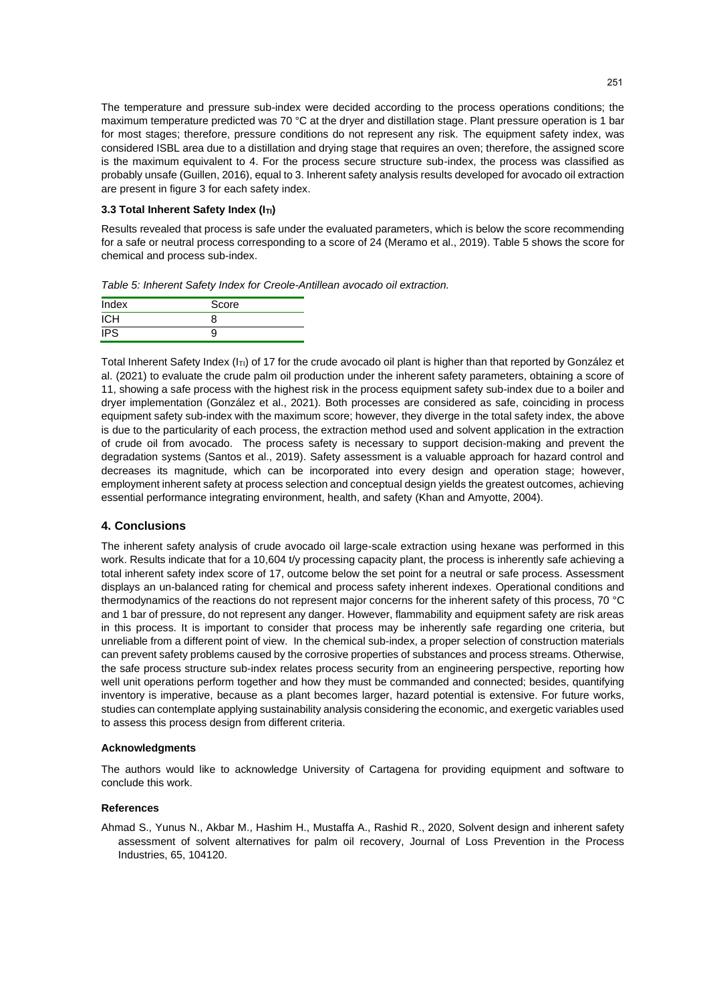The temperature and pressure sub-index were decided according to the process operations conditions; the maximum temperature predicted was 70 °C at the dryer and distillation stage. Plant pressure operation is 1 bar for most stages; therefore, pressure conditions do not represent any risk. The equipment safety index, was considered ISBL area due to a distillation and drying stage that requires an oven; therefore, the assigned score is the maximum equivalent to 4. For the process secure structure sub-index, the process was classified as probably unsafe (Guillen, 2016), equal to 3. Inherent safety analysis results developed for avocado oil extraction are present in figure 3 for each safety index.

## **3.3 Total Inherent Safety Index (ITI)**

Results revealed that process is safe under the evaluated parameters, which is below the score recommending for a safe or neutral process corresponding to a score of 24 (Meramo et al., 2019). Table 5 shows the score for chemical and process sub-index.

*Table 5: Inherent Safety Index for Creole-Antillean avocado oil extraction.*

| Index      | Score |
|------------|-------|
| <b>ICH</b> |       |
| <b>IPS</b> |       |

Total Inherent Safety Index ( $I_{TI}$ ) of 17 for the crude avocado oil plant is higher than that reported by González et al. (2021) to evaluate the crude palm oil production under the inherent safety parameters, obtaining a score of 11, showing a safe process with the highest risk in the process equipment safety sub-index due to a boiler and dryer implementation (González et al., 2021). Both processes are considered as safe, coinciding in process equipment safety sub-index with the maximum score; however, they diverge in the total safety index, the above is due to the particularity of each process, the extraction method used and solvent application in the extraction of crude oil from avocado. The process safety is necessary to support decision-making and prevent the degradation systems (Santos et al., 2019). Safety assessment is a valuable approach for hazard control and decreases its magnitude, which can be incorporated into every design and operation stage; however, employment inherent safety at process selection and conceptual design yields the greatest outcomes, achieving essential performance integrating environment, health, and safety (Khan and Amyotte, 2004).

## **4. Conclusions**

The inherent safety analysis of crude avocado oil large-scale extraction using hexane was performed in this work. Results indicate that for a 10,604 t/y processing capacity plant, the process is inherently safe achieving a total inherent safety index score of 17, outcome below the set point for a neutral or safe process. Assessment displays an un-balanced rating for chemical and process safety inherent indexes. Operational conditions and thermodynamics of the reactions do not represent major concerns for the inherent safety of this process, 70 °C and 1 bar of pressure, do not represent any danger. However, flammability and equipment safety are risk areas in this process. It is important to consider that process may be inherently safe regarding one criteria, but unreliable from a different point of view. In the chemical sub-index, a proper selection of construction materials can prevent safety problems caused by the corrosive properties of substances and process streams. Otherwise, the safe process structure sub-index relates process security from an engineering perspective, reporting how well unit operations perform together and how they must be commanded and connected; besides, quantifying inventory is imperative, because as a plant becomes larger, hazard potential is extensive. For future works, studies can contemplate applying sustainability analysis considering the economic, and exergetic variables used to assess this process design from different criteria.

#### **Acknowledgments**

The authors would like to acknowledge University of Cartagena for providing equipment and software to conclude this work.

#### **References**

Ahmad S., Yunus N., Akbar M., Hashim H., Mustaffa A., Rashid R., 2020, Solvent design and inherent safety assessment of solvent alternatives for palm oil recovery, Journal of Loss Prevention in the Process Industries, 65, 104120.